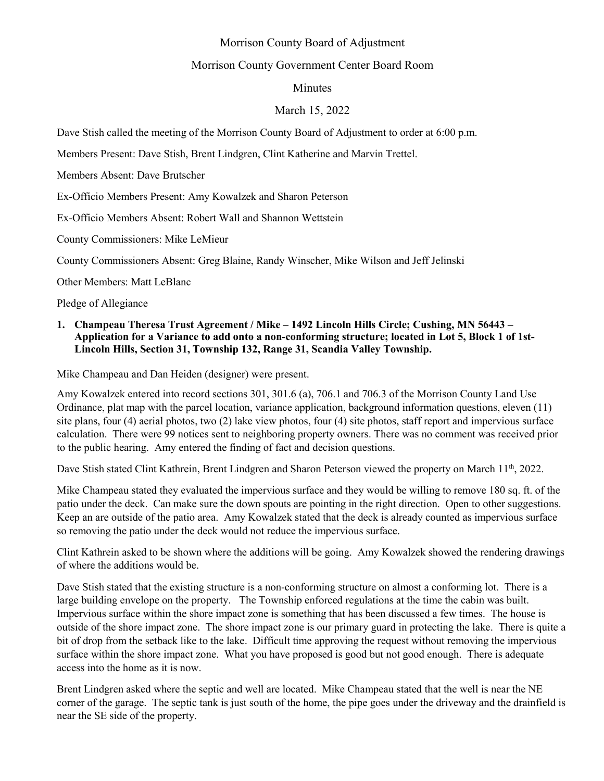# Morrison County Board of Adjustment

## Morrison County Government Center Board Room

## Minutes

## March 15, 2022

Dave Stish called the meeting of the Morrison County Board of Adjustment to order at 6:00 p.m.

Members Present: Dave Stish, Brent Lindgren, Clint Katherine and Marvin Trettel.

Members Absent: Dave Brutscher

Ex-Officio Members Present: Amy Kowalzek and Sharon Peterson

Ex-Officio Members Absent: Robert Wall and Shannon Wettstein

County Commissioners: Mike LeMieur

County Commissioners Absent: Greg Blaine, Randy Winscher, Mike Wilson and Jeff Jelinski

Other Members: Matt LeBlanc

Pledge of Allegiance

#### **1. Champeau Theresa Trust Agreement / Mike – 1492 Lincoln Hills Circle; Cushing, MN 56443 – Application for a Variance to add onto a non-conforming structure; located in Lot 5, Block 1 of 1st-Lincoln Hills, Section 31, Township 132, Range 31, Scandia Valley Township.**

Mike Champeau and Dan Heiden (designer) were present.

Amy Kowalzek entered into record sections 301, 301.6 (a), 706.1 and 706.3 of the Morrison County Land Use Ordinance, plat map with the parcel location, variance application, background information questions, eleven (11) site plans, four (4) aerial photos, two (2) lake view photos, four (4) site photos, staff report and impervious surface calculation. There were 99 notices sent to neighboring property owners. There was no comment was received prior to the public hearing. Amy entered the finding of fact and decision questions.

Dave Stish stated Clint Kathrein, Brent Lindgren and Sharon Peterson viewed the property on March 11<sup>th</sup>, 2022.

Mike Champeau stated they evaluated the impervious surface and they would be willing to remove 180 sq. ft. of the patio under the deck. Can make sure the down spouts are pointing in the right direction. Open to other suggestions. Keep an are outside of the patio area. Amy Kowalzek stated that the deck is already counted as impervious surface so removing the patio under the deck would not reduce the impervious surface.

Clint Kathrein asked to be shown where the additions will be going. Amy Kowalzek showed the rendering drawings of where the additions would be.

Dave Stish stated that the existing structure is a non-conforming structure on almost a conforming lot. There is a large building envelope on the property. The Township enforced regulations at the time the cabin was built. Impervious surface within the shore impact zone is something that has been discussed a few times. The house is outside of the shore impact zone. The shore impact zone is our primary guard in protecting the lake. There is quite a bit of drop from the setback like to the lake. Difficult time approving the request without removing the impervious surface within the shore impact zone. What you have proposed is good but not good enough. There is adequate access into the home as it is now.

Brent Lindgren asked where the septic and well are located. Mike Champeau stated that the well is near the NE corner of the garage. The septic tank is just south of the home, the pipe goes under the driveway and the drainfield is near the SE side of the property.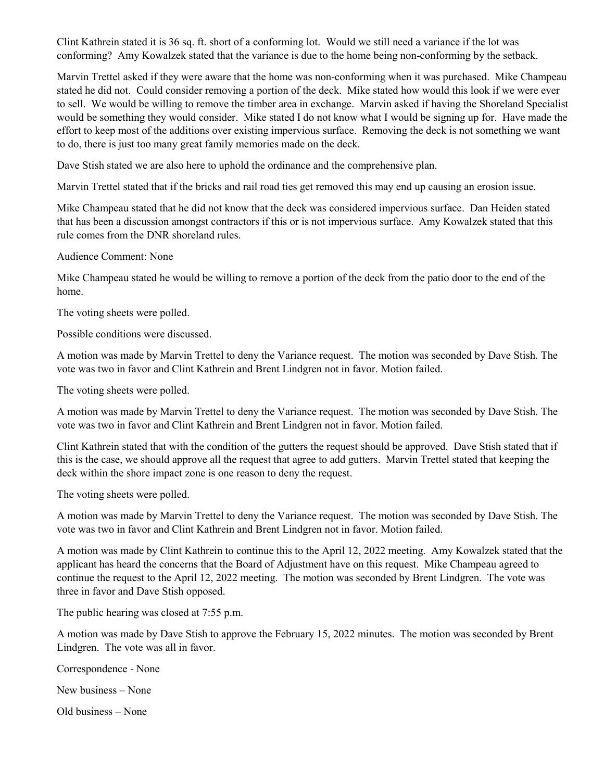Clint Kathrein stated it is 36 sq. ft. short of a conforming lot. Would we still need a variance if the lot was conforming? Amy Kowalzek stated that the variance is due to the home being non-conforming by the setback.

Marvin Trettel asked if they were aware that the home was non-conforming when it was purchased. Mike Champeau stated he did not. Could consider removing a portion of the deck. Mike stated how would this look if we were ever to sell. We would be willing to remove the timber area in exchange. Marvin asked if having the Shoreland Specialist would be something they would consider. Mike stated I do not know what I would be signing up for. Have made the effort to keep most of the additions over existing impervious surface. Removing the deck is not something we want to do, there is just too many great family memories made on the deck.

Dave Stish stated we are also here to uphold the ordinance and the comprehensive plan.

Marvin Trettel stated that if the bricks and rail road ties get removed this may end up causing an erosion issue.

Mike Champeau stated that he did not know that the deck was considered impervious surface. Dan Heiden stated that has been a discussion amongst contractors if this or is not impervious surface. Amy Kowalzek stated that this rule comes from the DNR shoreland rules.

Audience Comment: None

Mike Champeau stated he would be willing to remove a portion of the deck from the patio door to the end of the home.

The voting sheets were polled.

Possible conditions were discussed.

A motion was made by Marvin Trettel to deny the Variance request. The motion was seconded by Dave Stish. The vote was two in favor and Clint Kathrein and Brent Lindgren not in favor. Motion failed.

The voting sheets were polled.

A motion was made by Marvin Trettel to deny the Variance request. The motion was seconded by Dave Stish. The vote was two in favor and Clint Kathrein and Brent Lindgren not in favor. Motion failed.

Clint Kathrein stated that with the condition of the gutters the request should be approved. Dave Stish stated that if this is the case, we should approve all the request that agree to add gutters. Marvin Trettel stated that keeping the deck within the shore impact zone is one reason to deny the request.

The voting sheets were polled.

A motion was made by Marvin Trettel to deny the Variance request. The motion was seconded by Dave Stish. The vote was two in favor and Clint Kathrein and Brent Lindgren not in favor. Motion failed.

A motion was made by Clint Kathrein to continue this to the April 12, 2022 meeting. Amy Kowalzek stated that the applicant has heard the concerns that the Board of Adjustment have on this request. Mike Champeau agreed to continue the request to the April 12, 2022 meeting. The motion was seconded by Brent Lindgren. The vote was three in favor and Dave Stish opposed.

The public hearing was closed at 7:55 p.m.

A motion was made by Dave Stish to approve the February 15, 2022 minutes. The motion was seconded by Brent Lindgren. The vote was all in favor.

Correspondence - None

New business – None

Old business – None